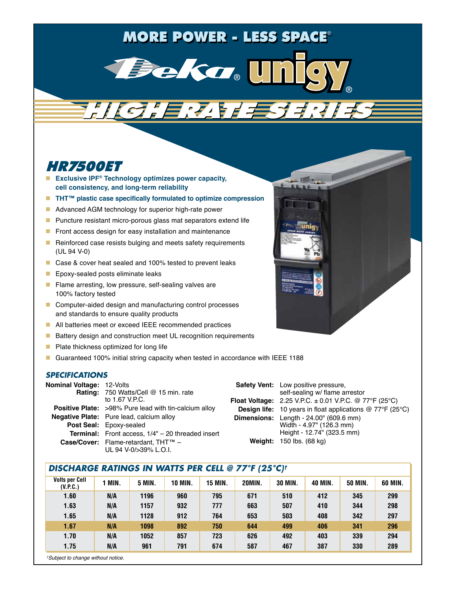# MORE POWER - LESS SPACE®



HIGH RATE SERIES HIGH RATE SERIES

# HR7500ET

- **Exclusive IPF<sup>®</sup> Technology optimizes power capacity, cell consistency, and long-term reliability**
- **THT<sup>™</sup> plastic case specifically formulated to optimize compression**
- **Advanced AGM technology for superior high-rate power**
- **Puncture resistant micro-porous glass mat separators extend life**
- $\blacksquare$  Front access design for easy installation and maintenance
- Reinforced case resists bulging and meets safety requirements (UL 94 V-0)
- Case & cover heat sealed and 100% tested to prevent leaks
- **Epoxy-sealed posts eliminate leaks**
- **Filame arresting, low pressure, self-sealing valves are** 100% factory tested
- Computer-aided design and manufacturing control processes and standards to ensure quality products
- All batteries meet or exceed IEEE recommended practices
- Battery design and construction meet UL recognition requirements
- **Plate thickness optimized for long life**
- Guaranteed 100% initial string capacity when tested in accordance with IEEE 1188

#### *SPECIFICATIONS*

| <b>Nominal Voltage: 12-Volts</b> | <b>Rating: 750 Watts/Cell @ 15 min. rate</b>                 | <b>Safety Vent:</b> Low positive pressure,<br>self-sealing w/ flame arrestor     |  |  |  |
|----------------------------------|--------------------------------------------------------------|----------------------------------------------------------------------------------|--|--|--|
|                                  | to 1.67 V.P.C.                                               | <b>Float Voltage:</b> 2.25 V.P.C. $\pm$ 0.01 V.P.C. @ 77°F (25°C)                |  |  |  |
|                                  | <b>Positive Plate:</b> >98% Pure lead with tin-calcium alloy | <b>Design life:</b> 10 years in float applications $@ 77^{\circ}F (25^{\circ}C)$ |  |  |  |
|                                  | <b>Negative Plate:</b> Pure lead, calcium alloy              | <b>Dimensions:</b> Length - 24.00" (609.6 mm)                                    |  |  |  |
|                                  | <b>Post Seal: Epoxy-sealed</b>                               | Width - 4.97" (126.3 mm)                                                         |  |  |  |
|                                  | <b>Terminal:</b> Front access, $1/4" - 20$ threaded insert   | Height - 12.74" (323.5 mm)                                                       |  |  |  |
|                                  | Case/Cover: Flame-retardant, THT™ -<br>UL 94 V-0/>39% L.O.I. | <b>Weight: 150 lbs. (68 kg)</b>                                                  |  |  |  |

#### *DISCHARGE RATINGS IN WATTS PER CELL @ 77°F (25°C)†*

| <b>Volts per Cell</b><br>(V.P.C.) | MIN. | <b>5 MIN.</b> | <b>10 MIN.</b> | <b>15 MIN.</b> | <b>20MIN.</b> | <b>30 MIN.</b> | <b>40 MIN.</b> | <b>50 MIN.</b> | 60 MIN. |
|-----------------------------------|------|---------------|----------------|----------------|---------------|----------------|----------------|----------------|---------|
| 1.60                              | N/A  | 1196          | 960            | 795            | 671           | 510            | 412            | 345            | 299     |
| 1.63                              | N/A  | 1157          | 932            | 777            | 663           | 507            | 410            | 344            | 298     |
| 1.65                              | N/A  | 1128          | 912            | 764            | 653           | 503            | 408            | 342            | 297     |
| 1.67                              | N/A  | 1098          | 892            | 750            | 644           | 499            | 406            | 341            | 296     |
| 1.70                              | N/A  | 1052          | 857            | 723            | 626           | 492            | 403            | 339            | 294     |
| 1.75                              | N/A  | 961           | 791            | 674            | 587           | 467            | 387            | 330            | 289     |